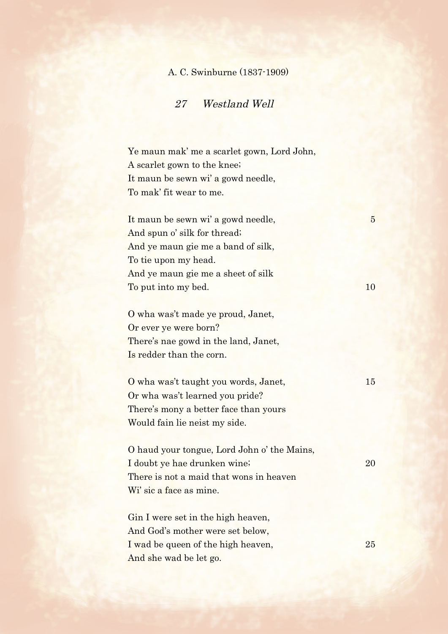## A. C. Swinburne (1837-1909)

## 27 Westland Well

Ye maun mak' me a scarlet gown, Lord John, A scarlet gown to the knee; It maun be sewn wi' a gowd needle, To mak' fit wear to me.

It maun be sewn wi' a gowd needle, 5 And spun o' silk for thread; And ye maun gie me a band of silk, To tie upon my head. And ye maun gie me a sheet of silk To put into my bed. 10

O wha was't made ye proud, Janet, Or ever ye were born? There's nae gowd in the land, Janet, Is redder than the corn.

O wha was't taught you words, Janet, 15 Or wha was't learned you pride? There's mony a better face than yours Would fain lie neist my side.

O haud your tongue, Lord John o' the Mains, I doubt ye hae drunken wine; 20 There is not a maid that wons in heaven Wi' sic a face as mine.

Gin I were set in the high heaven, And God's mother were set below, I wad be queen of the high heaven, 25 And she wad be let go.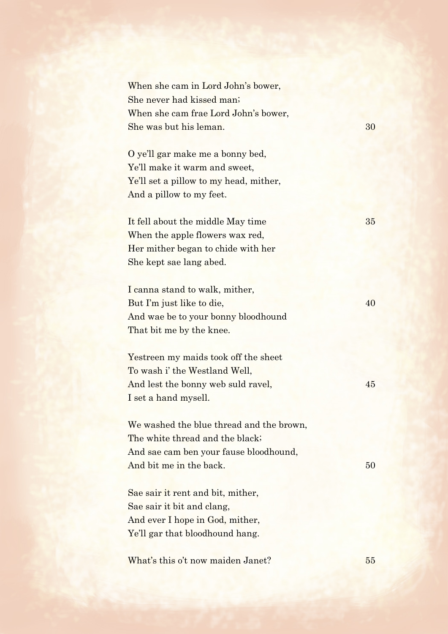| When she cam in Lord John's bower,<br>She never had kissed man;                                                                                  |    |
|--------------------------------------------------------------------------------------------------------------------------------------------------|----|
| When she cam frae Lord John's bower,<br>She was but his leman.                                                                                   | 30 |
| O ye'll gar make me a bonny bed,<br>Ye'll make it warm and sweet,<br>Ye'll set a pillow to my head, mither,<br>And a pillow to my feet.          |    |
| It fell about the middle May time<br>When the apple flowers wax red,<br>Her mither began to chide with her<br>She kept sae lang abed.            | 35 |
| I canna stand to walk, mither,<br>But I'm just like to die,<br>And wae be to your bonny bloodhound<br>That bit me by the knee.                   | 40 |
| Yestreen my maids took off the sheet<br>To wash i' the Westland Well,<br>And lest the bonny web suld ravel,<br>I set a hand mysell.              | 45 |
| We washed the blue thread and the brown,<br>The white thread and the black;<br>And sae cam ben your fause bloodhound,<br>And bit me in the back. | 50 |
| Sae sair it rent and bit, mither,<br>Sae sair it bit and clang,<br>And ever I hope in God, mither,<br>Ye'll gar that bloodhound hang.            |    |
| What's this o't now maiden Janet?                                                                                                                | 55 |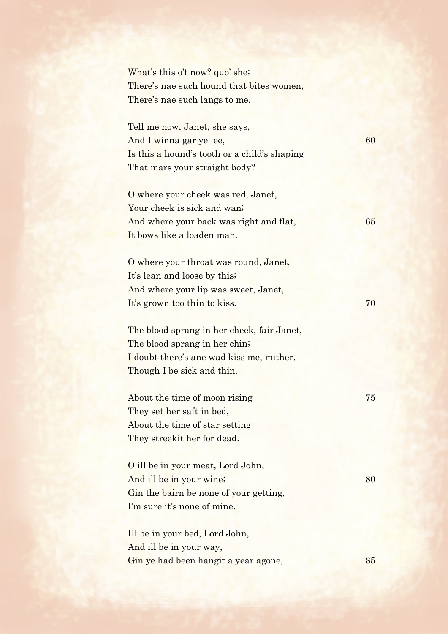What's this o't now? quo' she; There's nae such hound that bites women, There's nae such langs to me.

Tell me now, Janet, she says, And I winna gar ye lee, 60 Is this a hound's tooth or a child's shaping That mars your straight body?

O where your cheek was red, Janet, Your cheek is sick and wan; And where your back was right and flat, 65 It bows like a loaden man.

O where your throat was round, Janet, It's lean and loose by this; And where your lip was sweet, Janet, It's grown too thin to kiss. 70

The blood sprang in her cheek, fair Janet, The blood sprang in her chin; I doubt there's ane wad kiss me, mither, Though I be sick and thin.

About the time of moon rising 75 They set her saft in bed, About the time of star setting They streekit her for dead.

O ill be in your meat, Lord John, And ill be in your wine; 80 Gin the bairn be none of your getting, I'm sure it's none of mine.

Ill be in your bed, Lord John, And ill be in your way, Gin ye had been hangit a year agone, 85